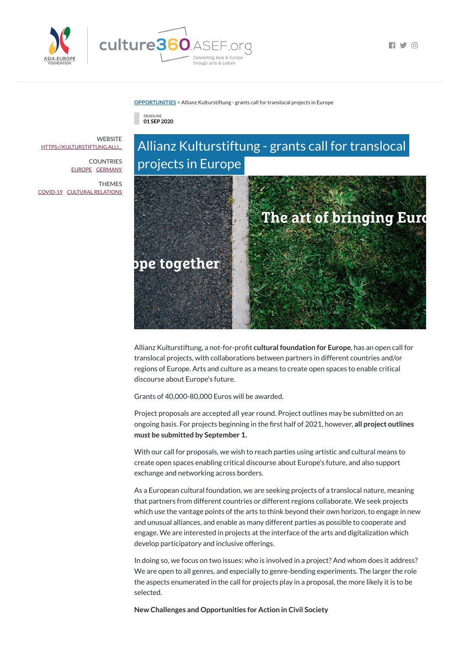

 $\Box$   $\Box$   $\Box$ 

#### **[OPPORTUNITIES](https://culture360.asef.org/opportunities/)** > Allianz Kulturstiftung - grants call for translocal projects in Europe

DEADLINE **01 SEP 2020**



Allianz Kulturstiftung, a not-for-profit **cultural foundation for Europe**, has an open call for translocal projects, with collaborations between partners in different countries and/or regions of Europe. Arts and culture as a means to create open spaces to enable critical discourse about Europe's future.

Grants of 40,000-80,000 Euros will be awarded.

Project proposals are accepted all year round. Project outlines may be submitted on an ongoing basis. For projects beginning in the first half of 2021, however, all project outlines **must be submitted by September 1.**

With our call for proposals, we wish to reach parties using artistic and cultural means to create open spaces enabling critical discourse about Europe's future, and also support exchange and networking across borders.

**WEBSITE** [HTTPS://KULTURSTIFTUNG.ALLI...](https://kulturstiftung.allianz.de/en_EN/funding-and-projects/call-for-projects.html)

> As a European cultural foundation, we are seeking projects of a translocal nature, meaning that partners from different countries or different regions collaborate. We seek projects which use the vantage points of the arts to think beyond their own horizon, to engage in new and unusual alliances, and enable as many different parties as possible to cooperate and engage. We are interested in projects at the interface of the arts and digitalization which develop participatory and inclusive offerings.

In doing so, we focus on two issues: who is involved in a project? And whom does it address? We are open to all genres, and especially to genre-bending experiments. The larger the role the aspects enumerated in the call for projects play in a proposal, the more likely it is to be selected.

**New Challenges and Opportunities for Action in Civil Society**

COUNTRIES [EUROPE](https://culture360.asef.org/countries/europe/) [GERMANY](https://culture360.asef.org/countries/germany/)

THEMES [COVID-19](https://culture360.asef.org/themes/covid-19/) CULTURAL [RELATIONS](https://culture360.asef.org/themes/cultural-relations/)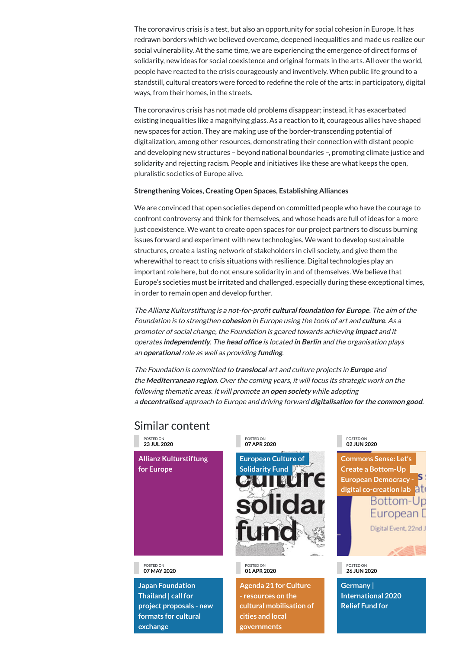## Similar content

The coronavirus crisis is a test, but also an opportunity for social cohesion in Europe. It has redrawn borders which we believed overcome, deepened inequalities and made us realize our social vulnerability. At the same time, we are experiencing the emergence of direct forms of solidarity, new ideas for social coexistence and original formats in the arts. All over the world, people have reacted to the crisis courageously and inventively. When public life ground to a standstill, cultural creators were forced to redefine the role of the arts: in participatory, digital ways, from their homes, in the streets.

The coronavirus crisis has not made old problems disappear; instead, it has exacerbated existing inequalities like a magnifying glass. As a reaction to it, courageous allies have shaped new spaces for action. They are making use of the border-transcending potential of digitalization, among other resources, demonstrating their connection with distant people and developing new structures – beyond national boundaries –, promoting climate justice and solidarity and rejecting racism. People and initiatives like these are what keeps the open, pluralistic societies of Europe alive.

### **Strengthening Voices, Creating Open Spaces, Establishing Alliances**

**Commons Sense: Let's Create a Bottom-Up European Democracy digital [co-creation](https://culture360.asef.org/news-events/commons-sense-lets-create-bottom-european-democracy-digital-co-creation-lab/) lab** Bottom-Up European D



We are convinced that open societies depend on committed people who have the courage to confront controversy and think for themselves, and whose heads are full of ideas for a more just coexistence. We want to create open spaces for our project partners to discuss burning issues forward and experiment with new technologies. We want to develop sustainable structures, create a lasting network of stakeholders in civil society, and give them the wherewithal to react to crisis situations with resilience. Digital technologies play an important role here, but do not ensure solidarity in and of themselves. We believe that Europe's societies must be irritated and challenged, especially during these exceptional times, in order to remain open and develop further.

The Allianz Kulturstiftung is <sup>a</sup> not-for-prot **cultural foundation for Europe**. The aim of the Foundation is to strengthen **cohesion** in Europe using the tools of art and **culture**. As <sup>a</sup> promoter of social change, the Foundation is geared towards achieving **impact** and it **operates independently.** The head office is located in Berlin and the organisation plays an **operational** role as well as providing **funding**.

The Foundation is committed to **translocal** art and culture projects in **Europe** and the **Mediterranean region**. Over the coming years, it will focus its strategic work on the following thematic areas. It will promote an **open society** while adopting <sup>a</sup> **decentralised** approach to Europe and driving forward **digitalisation for the common good**.

POSTED ON **23 JUL 2020**

**Allianz [Kulturstiftung](https://culture360.asef.org/resources/allianz-kulturstiftung-europe/) for Europe**

POSTED ON **07 APR 2020**



POSTED ON **02 JUN 2020**

POSTED ON **07 MAY 2020**

**Japan Foundation Thailand | call for project proposals - new formats for cultural exchange**

POSTED ON **01 APR 2020**

**Agenda 21 for Culture - resources on the cultural mobilisation of cities and local governments**

Digital Event, 22nd J



POSTED ON **26 JUN 2020**

**Germany | International 2020 Relief Fund for**